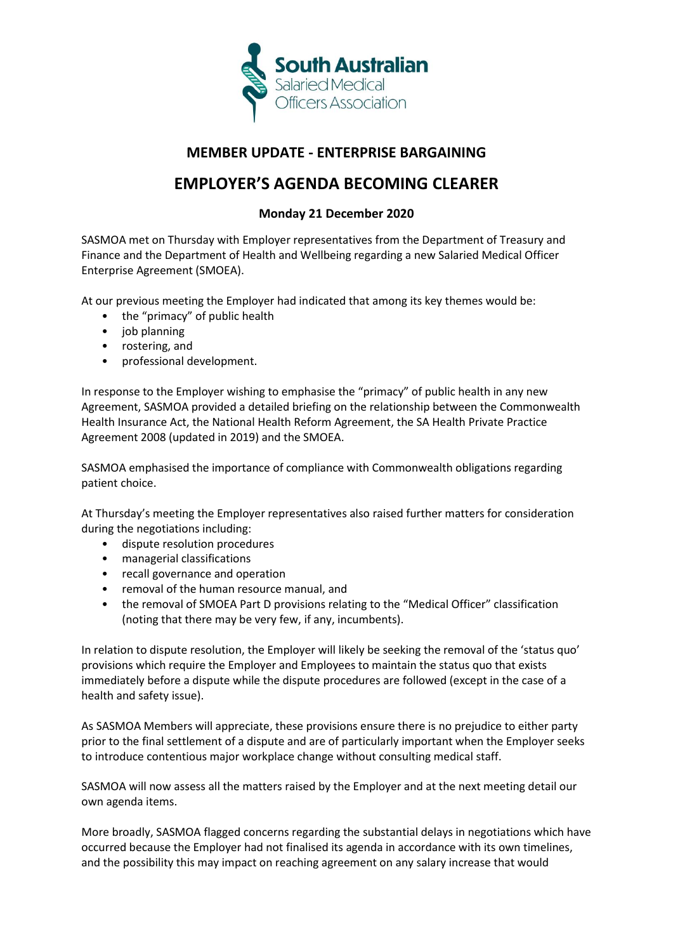

## **MEMBER UPDATE - ENTERPRISE BARGAINING**

## **EMPLOYER'S AGENDA BECOMING CLEARER**

## **Monday 21 December 2020**

SASMOA met on Thursday with Employer representatives from the Department of Treasury and Finance and the Department of Health and Wellbeing regarding a new Salaried Medical Officer Enterprise Agreement (SMOEA).

At our previous meeting the Employer had indicated that among its key themes would be:

- the "primacy" of public health
- job planning
- rostering, and
- professional development.

In response to the Employer wishing to emphasise the "primacy" of public health in any new Agreement, SASMOA provided a detailed briefing on the relationship between the Commonwealth Health Insurance Act, the National Health Reform Agreement, the SA Health Private Practice Agreement 2008 (updated in 2019) and the SMOEA.

SASMOA emphasised the importance of compliance with Commonwealth obligations regarding patient choice.

At Thursday's meeting the Employer representatives also raised further matters for consideration during the negotiations including:

- dispute resolution procedures
- managerial classifications
- recall governance and operation
- removal of the human resource manual, and
- the removal of SMOEA Part D provisions relating to the "Medical Officer" classification (noting that there may be very few, if any, incumbents).

In relation to dispute resolution, the Employer will likely be seeking the removal of the 'status quo' provisions which require the Employer and Employees to maintain the status quo that exists immediately before a dispute while the dispute procedures are followed (except in the case of a health and safety issue).

As SASMOA Members will appreciate, these provisions ensure there is no prejudice to either party prior to the final settlement of a dispute and are of particularly important when the Employer seeks to introduce contentious major workplace change without consulting medical staff.

SASMOA will now assess all the matters raised by the Employer and at the next meeting detail our own agenda items.

More broadly, SASMOA flagged concerns regarding the substantial delays in negotiations which have occurred because the Employer had not finalised its agenda in accordance with its own timelines, and the possibility this may impact on reaching agreement on any salary increase that would